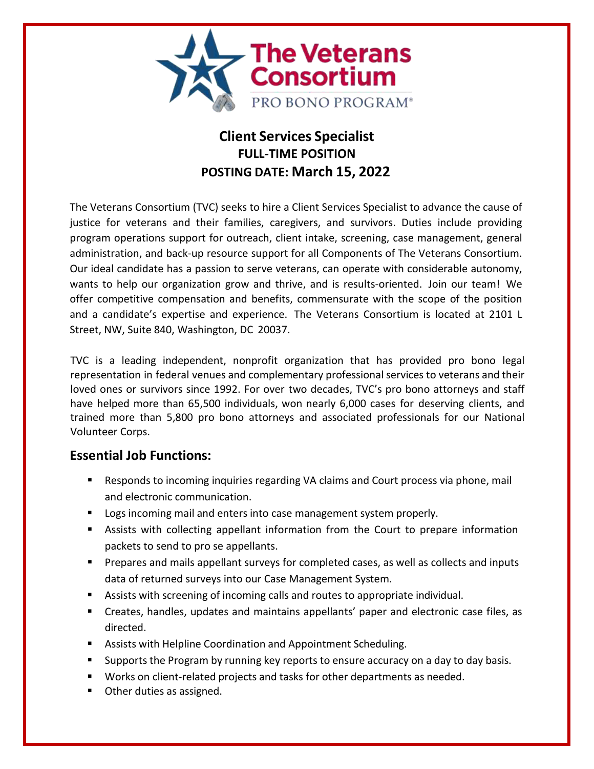

# **Client Services Specialist FULL-TIME POSITION POSTING DATE: March 15, 2022**

The Veterans Consortium (TVC) seeks to hire a Client Services Specialist to advance the cause of justice for veterans and their families, caregivers, and survivors. Duties include providing program operations support for outreach, client intake, screening, case management, general administration, and back-up resource support for all Components of The Veterans Consortium. Our ideal candidate has a passion to serve veterans, can operate with considerable autonomy, wants to help our organization grow and thrive, and is results-oriented. Join our team! We offer competitive compensation and benefits, commensurate with the scope of the position and a candidate's expertise and experience. The Veterans Consortium is located at 2101 L Street, NW, Suite 840, Washington, DC 20037.

TVC is a leading independent, nonprofit organization that has provided pro bono legal representation in federal venues and complementary professional services to veterans and their loved ones or survivors since 1992. For over two decades, TVC's pro bono attorneys and staff have helped more than 65,500 individuals, won nearly 6,000 cases for deserving clients, and trained more than 5,800 pro bono attorneys and associated professionals for our National Volunteer Corps.

# **Essential Job Functions:**

- Responds to incoming inquiries regarding VA claims and Court process via phone, mail and electronic communication.
- **Logs incoming mail and enters into case management system properly.**
- Assists with collecting appellant information from the Court to prepare information packets to send to pro se appellants.
- Prepares and mails appellant surveys for completed cases, as well as collects and inputs data of returned surveys into our Case Management System.
- Assists with screening of incoming calls and routes to appropriate individual.
- Creates, handles, updates and maintains appellants' paper and electronic case files, as directed.
- Assists with Helpline Coordination and Appointment Scheduling.
- **Supports the Program by running key reports to ensure accuracy on a day to day basis.**
- **Works on client-related projects and tasks for other departments as needed.**
- **•** Other duties as assigned.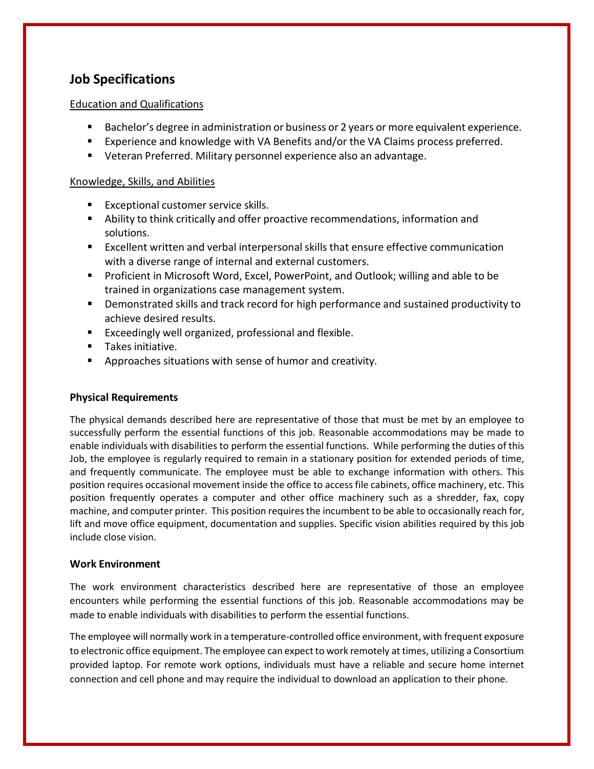# **Job Specifications**

### Education and Qualifications

- **Bachelor's degree in administration or business or 2 years or more equivalent experience.**
- Experience and knowledge with VA Benefits and/or the VA Claims process preferred.
- Veteran Preferred. Military personnel experience also an advantage.

#### Knowledge, Skills, and Abilities

- **Exceptional customer service skills.**
- Ability to think critically and offer proactive recommendations, information and solutions.
- Excellent written and verbal interpersonal skills that ensure effective communication with a diverse range of internal and external customers.
- **Proficient in Microsoft Word, Excel, PowerPoint, and Outlook; willing and able to be** trained in organizations case management system.
- Demonstrated skills and track record for high performance and sustained productivity to achieve desired results.
- Exceedingly well organized, professional and flexible.
- **Takes initiative.**
- Approaches situations with sense of humor and creativity.

# **Physical Requirements**

The physical demands described here are representative of those that must be met by an employee to successfully perform the essential functions of this job. Reasonable accommodations may be made to enable individuals with disabilities to perform the essential functions. While performing the duties of this Job, the employee is regularly required to remain in a stationary position for extended periods of time, and frequently communicate. The employee must be able to exchange information with others. This position requires occasional movement inside the office to access file cabinets, office machinery, etc. This position frequently operates a computer and other office machinery such as a shredder, fax, copy machine, and computer printer. This position requiresthe incumbent to be able to occasionally reach for, lift and move office equipment, documentation and supplies. Specific vision abilities required by this job include close vision.

#### **Work Environment**

The work environment characteristics described here are representative of those an employee encounters while performing the essential functions of this job. Reasonable accommodations may be made to enable individuals with disabilities to perform the essential functions.

The employee will normally work in a temperature-controlled office environment, with frequent exposure to electronic office equipment. The employee can expect to work remotely at times, utilizing a Consortium provided laptop. For remote work options, individuals must have a reliable and secure home internet connection and cell phone and may require the individual to download an application to their phone.